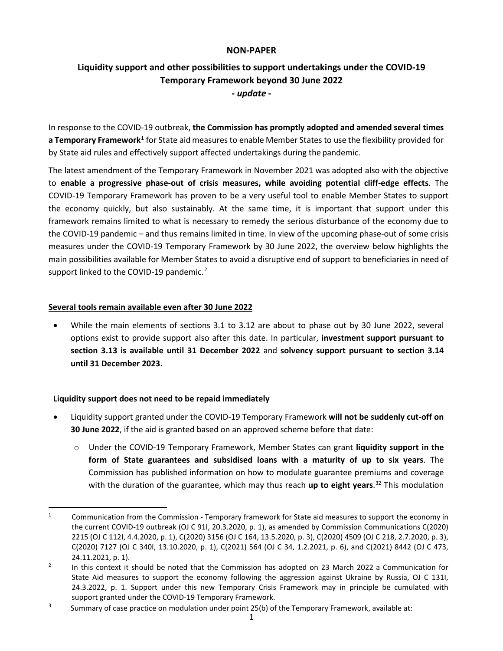### **NON-PAPER**

# **Liquidity support and other possibilities to support undertakings under the COVID-19 Temporary Framework beyond 30 June 2022 -** *update* **-**

In response to the COVID-19 outbreak, **the Commission has promptly adopted and amended several times a Temporary Framework[1](#page-0-0)** for State aid measures to enable Member States to use the flexibility provided for by State aid rules and effectively support affected undertakings during the pandemic.

The latest amendment of the Temporary Framework in November 2021 was adopted also with the objective to **enable a progressive phase-out of crisis measures, while avoiding potential cliff-edge effects**. The COVID-19 Temporary Framework has proven to be a very useful tool to enable Member States to support the economy quickly, but also sustainably. At the same time, it is important that support under this framework remains limited to what is necessary to remedy the serious disturbance of the economy due to the COVID-19 pandemic – and thus remains limited in time. In view of the upcoming phase-out of some crisis measures under the COVID-19 Temporary Framework by 30 June 2022, the overview below highlights the main possibilities available for Member States to avoid a disruptive end of support to beneficiaries in need of support linked to the COVID-19 pandemic. $2$ 

### **Several tools remain available even after 30 June 2022**

• While the main elements of sections 3.1 to 3.12 are about to phase out by 30 June 2022, several options exist to provide support also after this date. In particular, **investment support pursuant to section 3.13 is available until 31 December 2022** and **solvency support pursuant to section 3.14 until 31 December 2023.**

### **Liquidity support does not need to be repaid immediately**

- Liquidity support granted under the COVID-19 Temporary Framework **will not be suddenly cut-off on 30 June 2022**, if the aid is granted based on an approved scheme before that date:
	- o Under the COVID-19 Temporary Framework, Member States can grant **liquidity support in the form of State guarantees and subsidised loans with a maturity of up to six years**. The Commission has published information on how to modulate guarantee premiums and coverage with the duration of the guarantee, which may thus reach **up to eight years**. [32](#page-0-2) This modulation

<span id="page-0-0"></span><sup>&</sup>lt;sup>1</sup> Communication from the Commission - Temporary framework for State aid measures to support the economy in the current COVID-19 outbreak (OJ C 91I, 20.3.2020, p. 1), as amended by Commission Communications C(2020) 2215 (OJ C 112I, 4.4.2020, p. 1), C(2020) 3156 (OJ C 164, 13.5.2020, p. 3), C(2020) 4509 (OJ C 218, 2.7.2020, p. 3), C(2020) 7127 (OJ C 340I, 13.10.2020, p. 1), C(2021) 564 (OJ C 34, 1.2.2021, p. 6), and C(2021) 8442 (OJ C 473, 24.11.2021, p. 1).

<span id="page-0-1"></span><sup>&</sup>lt;sup>2</sup> In this context it should be noted that the Commission has adopted on 23 March 2022 a Communication for State Aid measures to support the economy following the aggression against Ukraine by Russia, OJ C 131I, 24.3.2022, p. 1. Support under this new Temporary Crisis Framework may in principle be cumulated with support granted under the COVID-19 Temporary Framework.

<span id="page-0-2"></span><sup>&</sup>lt;sup>3</sup> Summary of case practice on modulation under point 25(b) of the Temporary Framework, available at: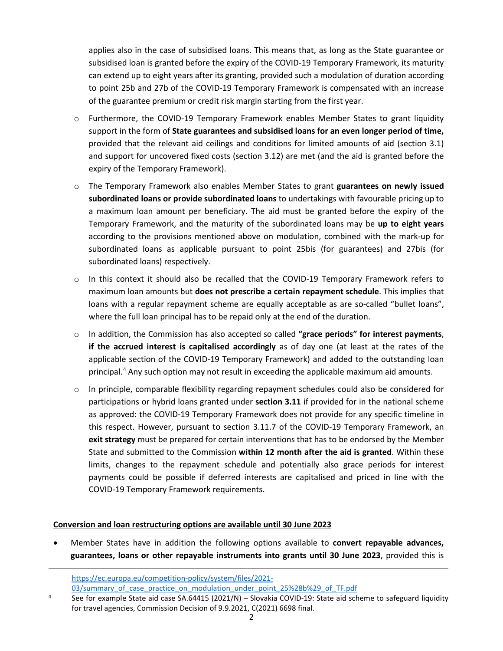applies also in the case of subsidised loans. This means that, as long as the State guarantee or subsidised loan is granted before the expiry of the COVID-19 Temporary Framework, its maturity can extend up to eight years after its granting, provided such a modulation of duration according to point 25b and 27b of the COVID-19 Temporary Framework is compensated with an increase of the guarantee premium or credit risk margin starting from the first year.

- o Furthermore, the COVID-19 Temporary Framework enables Member States to grant liquidity support in the form of **State guarantees and subsidised loans for an even longer period of time,**  provided that the relevant aid ceilings and conditions for limited amounts of aid (section 3.1) and support for uncovered fixed costs (section 3.12) are met (and the aid is granted before the expiry of the Temporary Framework).
- o The Temporary Framework also enables Member States to grant **guarantees on newly issued subordinated loans or provide subordinated loans** to undertakings with favourable pricing up to a maximum loan amount per beneficiary. The aid must be granted before the expiry of the Temporary Framework, and the maturity of the subordinated loans may be **up to eight years** according to the provisions mentioned above on modulation, combined with the mark-up for subordinated loans as applicable pursuant to point 25bis (for guarantees) and 27bis (for subordinated loans) respectively.
- o In this context it should also be recalled that the COVID-19 Temporary Framework refers to maximum loan amounts but **does not prescribe a certain repayment schedule**. This implies that loans with a regular repayment scheme are equally acceptable as are so-called "bullet loans", where the full loan principal has to be repaid only at the end of the duration.
- o In addition, the Commission has also accepted so called **"grace periods" for interest payments**, **if the accrued interest is capitalised accordingly** as of day one (at least at the rates of the applicable section of the COVID-19 Temporary Framework) and added to the outstanding loan principal. [4](#page-1-0) Any such option may not result in exceeding the applicable maximum aid amounts.
- o In principle, comparable flexibility regarding repayment schedules could also be considered for participations or hybrid loans granted under **section 3.11** if provided for in the national scheme as approved: the COVID-19 Temporary Framework does not provide for any specific timeline in this respect. However, pursuant to section 3.11.7 of the COVID-19 Temporary Framework, an **exit strategy** must be prepared for certain interventions that has to be endorsed by the Member State and submitted to the Commission **within 12 month after the aid is granted**. Within these limits, changes to the repayment schedule and potentially also grace periods for interest payments could be possible if deferred interests are capitalised and priced in line with the COVID-19 Temporary Framework requirements.

### **Conversion and loan restructuring options are available until 30 June 2023**

 $\overline{a}$ 

• Member States have in addition the following options available to **convert repayable advances, guarantees, loans or other repayable instruments into grants until 30 June 2023**, provided this is

[https://ec.europa.eu/competition-policy/system/files/2021-](https://ec.europa.eu/competition-policy/system/files/2021-03/summary_of_case_practice_on_modulation_under_point_25%28b%29_of_TF.pdf) 03/summary of case practice on modulation under point 25%28b%29 of TF.pdf

<span id="page-1-0"></span><sup>&</sup>lt;sup>4</sup> See for example State aid case SA.64415 (2021/N) – Slovakia COVID-19: State aid scheme to safeguard liquidity for travel agencies, Commission Decision of 9.9.2021, C(2021) 6698 final.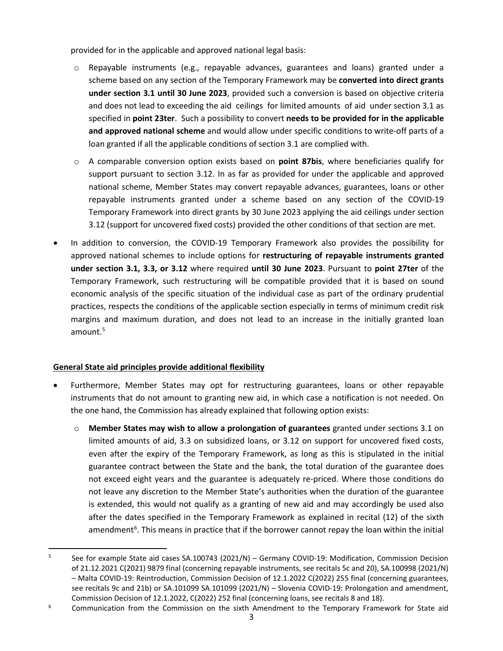provided for in the applicable and approved national legal basis:

- o Repayable instruments (e.g., repayable advances, guarantees and loans) granted under a scheme based on any section of the Temporary Framework may be **converted into direct grants under section 3.1 until 30 June 2023**, provided such a conversion is based on objective criteria and does not lead to exceeding the aid ceilings for limited amounts of aid under section 3.1 as specified in **point 23ter**. Such a possibility to convert **needs to be provided for in the applicable and approved national scheme** and would allow under specific conditions to write-off parts of a loan granted if all the applicable conditions of section 3.1 are complied with.
- o A comparable conversion option exists based on **point 87bis**, where beneficiaries qualify for support pursuant to section 3.12. In as far as provided for under the applicable and approved national scheme, Member States may convert repayable advances, guarantees, loans or other repayable instruments granted under a scheme based on any section of the COVID-19 Temporary Framework into direct grants by 30 June 2023 applying the aid ceilings under section 3.12 (support for uncovered fixed costs) provided the other conditions of that section are met.
- In addition to conversion, the COVID-19 Temporary Framework also provides the possibility for approved national schemes to include options for **restructuring of repayable instruments granted under section 3.1, 3.3, or 3.12** where required **until 30 June 2023**. Pursuant to **point 27ter** of the Temporary Framework, such restructuring will be compatible provided that it is based on sound economic analysis of the specific situation of the individual case as part of the ordinary prudential practices, respects the conditions of the applicable section especially in terms of minimum credit risk margins and maximum duration, and does not lead to an increase in the initially granted loan amount. $5$

## **General State aid principles provide additional flexibility**

- Furthermore, Member States may opt for restructuring guarantees, loans or other repayable instruments that do not amount to granting new aid, in which case a notification is not needed. On the one hand, the Commission has already explained that following option exists:
	- o **Member States may wish to allow a prolongation of guarantees** granted under sections 3.1 on limited amounts of aid, 3.3 on subsidized loans, or 3.12 on support for uncovered fixed costs, even after the expiry of the Temporary Framework, as long as this is stipulated in the initial guarantee contract between the State and the bank, the total duration of the guarantee does not exceed eight years and the guarantee is adequately re-priced. Where those conditions do not leave any discretion to the Member State's authorities when the duration of the guarantee is extended, this would not qualify as a granting of new aid and may accordingly be used also after the dates specified in the Temporary Framework as explained in recital (12) of the sixth amendment<sup>[6](#page-2-1)</sup>. This means in practice that if the borrower cannot repay the loan within the initial

<span id="page-2-0"></span><sup>&</sup>lt;sup>5</sup> See for example State aid cases SA.100743 (2021/N) – Germany COVID-19: Modification, Commission Decision of 21.12.2021 C(2021) 9879 final (concerning repayable instruments, see recitals 5c and 20), SA.100998 (2021/N) – Malta COVID-19: Reintroduction, Commission Decision of 12.1.2022 C(2022) 255 final (concerning guarantees, see recitals 9c and 21b) or SA.101099 SA.101099 (2021/N) – Slovenia COVID-19: Prolongation and amendment, Commission Decision of 12.1.2022, C(2022) 252 final (concerning loans, see recitals 8 and 18).

<span id="page-2-1"></span><sup>&</sup>lt;sup>6</sup> Communication from the Commission on the sixth Amendment to the Temporary Framework for State aid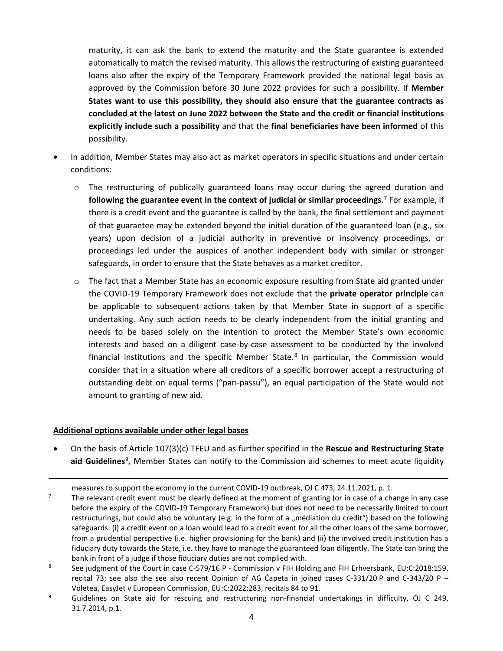maturity, it can ask the bank to extend the maturity and the State guarantee is extended automatically to match the revised maturity. This allows the restructuring of existing guaranteed loans also after the expiry of the Temporary Framework provided the national legal basis as approved by the Commission before 30 June 2022 provides for such a possibility. If **Member States want to use this possibility, they should also ensure that the guarantee contracts as concluded at the latest on June 2022 between the State and the credit or financial institutions explicitly include such a possibility** and that the **final beneficiaries have been informed** of this possibility.

- In addition, Member States may also act as market operators in specific situations and under certain conditions:
	- $\circ$  The restructuring of publically guaranteed loans may occur during the agreed duration and **following the guarantee event in the context of judicial or similar proceedings**. [7](#page-3-0) For example, if there is a credit event and the guarantee is called by the bank, the final settlement and payment of that guarantee may be extended beyond the initial duration of the guaranteed loan (e.g., six years) upon decision of a judicial authority in preventive or insolvency proceedings, or proceedings led under the auspices of another independent body with similar or stronger safeguards, in order to ensure that the State behaves as a market creditor.
	- $\circ$  The fact that a Member State has an economic exposure resulting from State aid granted under the COVID-19 Temporary Framework does not exclude that the **private operator principle** can be applicable to subsequent actions taken by that Member State in support of a specific undertaking. Any such action needs to be clearly independent from the initial granting and needs to be based solely on the intention to protect the Member State's own economic interests and based on a diligent case-by-case assessment to be conducted by the involved financial institutions and the specific Member State.<sup>[8](#page-3-1)</sup> In particular, the Commission would consider that in a situation where all creditors of a specific borrower accept a restructuring of outstanding debt on equal terms ("pari-passu"), an equal participation of the State would not amount to granting of new aid.

### **Additional options available under other legal bases**

l

• On the basis of Article 107(3)(c) TFEU and as further specified in the **Rescue and Restructuring State**  aid Guidelines<sup>[9](#page-3-2)</sup>, Member States can notify to the Commission aid schemes to meet acute liquidity

measures to support the economy in the current COVID-19 outbreak, OJ C 473, 24.11.2021, p. 1.

<span id="page-3-0"></span><sup>7</sup> The relevant credit event must be clearly defined at the moment of granting (or in case of a change in any case before the expiry of the COVID-19 Temporary Framework) but does not need to be necessarily limited to court restructurings, but could also be voluntary (e.g. in the form of a "médiation du credit") based on the following safeguards: (i) a credit event on a loan would lead to a credit event for all the other loans of the same borrower, from a prudential perspective (i.e. higher provisioning for the bank) and (ii) the involved credit institution has a fiduciary duty towards the State, i.e. they have to manage the guaranteed loan diligently. The State can bring the bank in front of a judge if those fiduciary duties are not complied with.

<span id="page-3-1"></span><sup>&</sup>lt;sup>8</sup> See judgment of the Court in case C-579/16 P - Commission v FIH Holding and FIH Erhversbank, EU:C:2018:159, recital 73; see also the see also recent Opinion of AG Ćapeta in joined cases C-331/20 P and C-343/20 P – Voletea, EasyJet v European Commission, EU:C:2022:283, recitals 84 to 91.

<span id="page-3-2"></span><sup>&</sup>lt;sup>9</sup> Guidelines on State aid for rescuing and restructuring non-financial undertakings in difficulty, OJ C 249, 31.7.2014, p.1.